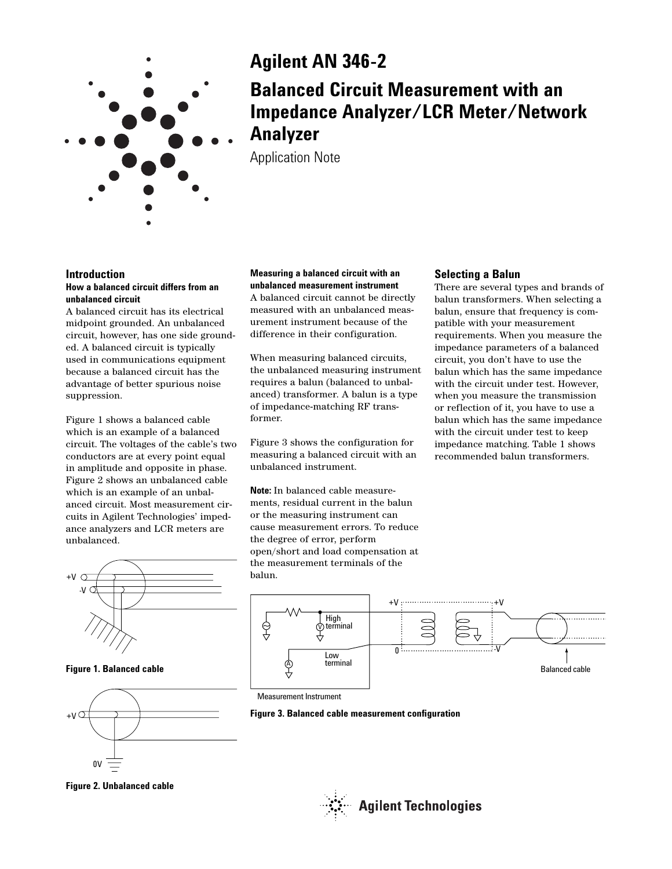

# **Agilent AN 346-2**

# **Balanced Circuit Measurement with an Impedance Analyzer/LCR Meter/Network Analyzer**

Application Note

## **Introduction**

#### **How a balanced circuit differs from an unbalanced circuit**

A balanced circuit has its electrical midpoint grounded. An unbalanced circuit, however, has one side grounded. A balanced circuit is typically used in communications equipment because a balanced circuit has the advantage of better spurious noise suppression.

Figure 1 shows a balanced cable which is an example of a balanced circuit. The voltages of the cable's two conductors are at every point equal in amplitude and opposite in phase. Figure 2 shows an unbalanced cable which is an example of an unbalanced circuit. Most measurement circuits in Agilent Technologies' impedance analyzers and LCR meters are unbalanced.



**Figure 1. Balanced cable**



**Figure 2. Unbalanced cable**

**Measuring a balanced circuit with an unbalanced measurement instrument** A balanced circuit cannot be directly measured with an unbalanced measurement instrument because of the difference in their configuration.

When measuring balanced circuits, the unbalanced measuring instrument requires a balun (balanced to unbalanced) transformer. A balun is a type of impedance-matching RF transformer.

Figure 3 shows the configuration for measuring a balanced circuit with an unbalanced instrument.

**Note:** In balanced cable measurements, residual current in the balun or the measuring instrument can cause measurement errors. To reduce the degree of error, perform open/short and load compensation at the measurement terminals of the balun.

## **Selecting a Balun**

There are several types and brands of balun transformers. When selecting a balun, ensure that frequency is compatible with your measurement requirements. When you measure the impedance parameters of a balanced circuit, you don't have to use the balun which has the same impedance with the circuit under test. However, when you measure the transmission or reflection of it, you have to use a balun which has the same impedance with the circuit under test to keep impedance matching. Table 1 shows recommended balun transformers.



Measurement Instrument



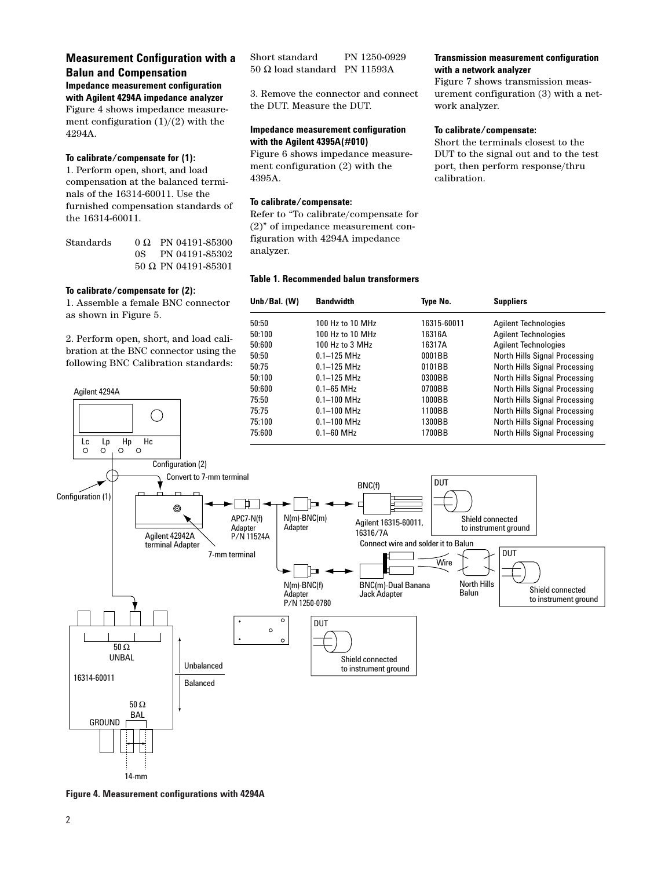## **Measurement Configuration with a Balun and Compensation**

**Impedance measurement configuration with Agilent 4294A impedance analyzer** Figure 4 shows impedance measurement configuration  $(1)/(2)$  with the 4294A.

#### **To calibrate/compensate for (1):**

1. Perform open, short, and load compensation at the balanced terminals of the 16314-60011. Use the furnished compensation standards of the 16314-60011.

| Standards |      | $0 \Omega$ PN 04191-85300 |
|-----------|------|---------------------------|
|           | OS – | PN 04191-85302            |
|           |      | $50$ Ω PN 04191-85301     |

#### **To calibrate/compensate for (2):**

Agilent 4294A

1. Assemble a female BNC connector as shown in Figure 5.

2. Perform open, short, and load calibration at the BNC connector using the following BNC Calibration standards:

 $\bigcirc$ 

| Short standard                 | PN 1250-0929 |
|--------------------------------|--------------|
| $50$ Ω load standard PN 11593A |              |

3. Remove the connector and connect the DUT. Measure the DUT.

#### **Impedance measurement configuration with the Agilent 4395A(#010)**

Figure 6 shows impedance measurement configuration (2) with the 4395A.

#### **To calibrate/compensate:**

Refer to "To calibrate/compensate for (2)" of impedance measurement configuration with 4294A impedance analyzer.

#### **Table 1. Recommended balun transformers**

**Transmission measurement configuration with a network analyzer** 

Figure 7 shows transmission measurement configuration (3) with a network analyzer.

#### **To calibrate/compensate:**

Short the terminals closest to the DUT to the signal out and to the test port, then perform response/thru calibration.

| Unb/Bal. $(W)$ | <b>Bandwidth</b> | Type No.    | <b>Suppliers</b>              |
|----------------|------------------|-------------|-------------------------------|
| 50:50          | 100 Hz to 10 MHz | 16315-60011 | <b>Agilent Technologies</b>   |
| 50:100         | 100 Hz to 10 MHz | 16316A      | <b>Agilent Technologies</b>   |
| 50:600         | 100 Hz to 3 MHz  | 16317A      | <b>Agilent Technologies</b>   |
| 50:50          | $0.1 - 125$ MHz  | 0001BB      | North Hills Signal Processing |
| 50:75          | $0.1 - 125$ MHz  | 0101BB      | North Hills Signal Processing |
| 50:100         | $0.1 - 125$ MHz  | 0300BB      | North Hills Signal Processing |
| 50:600         | $0.1 - 65$ MHz   | 0700BB      | North Hills Signal Processing |
| 75:50          | $0.1 - 100$ MHz  | 1000BB      | North Hills Signal Processing |
| 75:75          | $0.1 - 100$ MHz  | 1100BB      | North Hills Signal Processing |
| 75:100         | $0.1 - 100$ MHz  | 1300BB      | North Hills Signal Processing |
| 75:600         | $0.1 - 60$ MHz   | 1700BB      | North Hills Signal Processing |



**Figure 4. Measurement configurations with 4294A**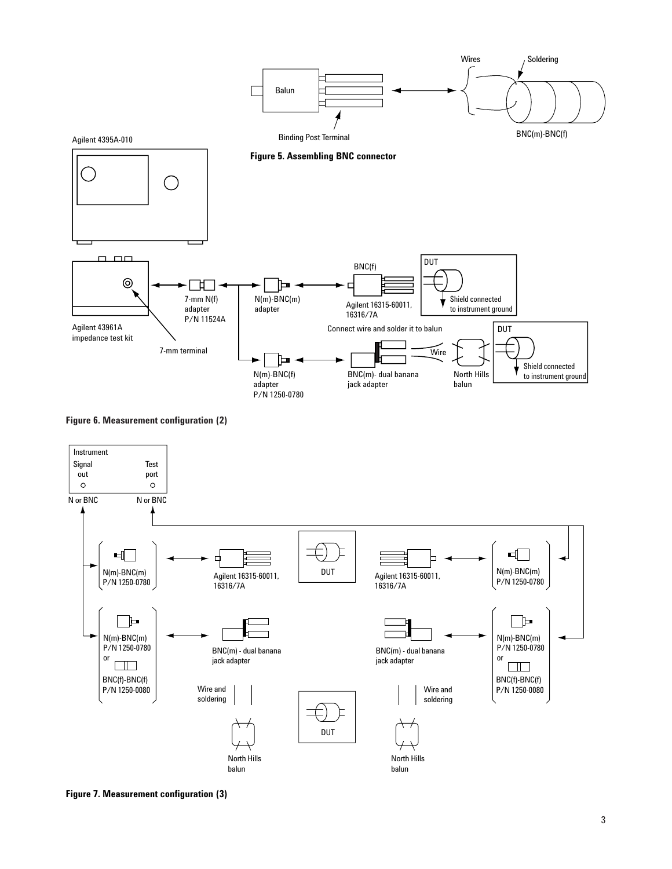





**Figure 7. Measurement configuration (3)**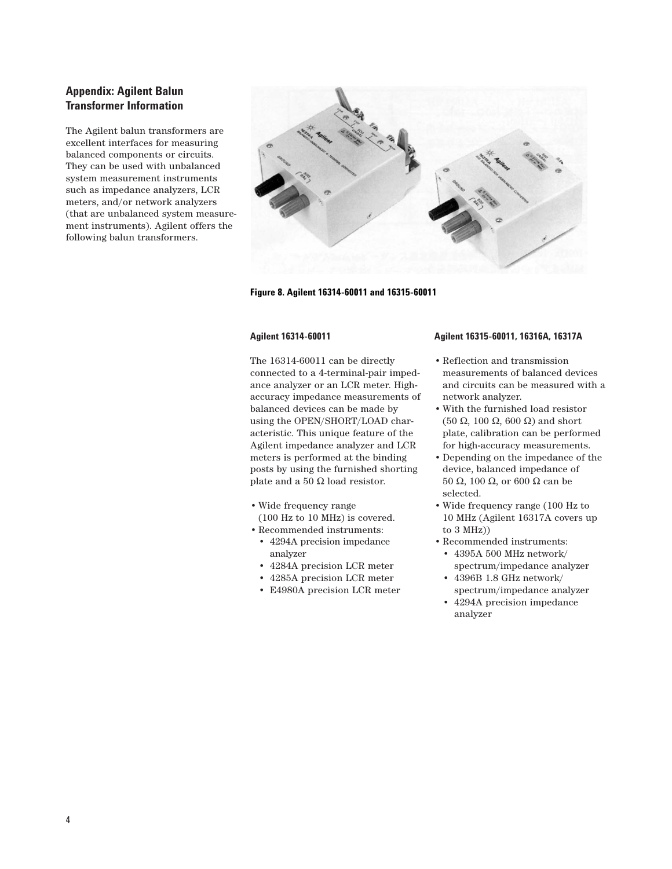## **Appendix: Agilent Balun Transformer Information**

The Agilent balun transformers are excellent interfaces for measuring balanced components or circuits. They can be used with unbalanced system measurement instruments such as impedance analyzers, LCR meters, and/or network analyzers (that are unbalanced system measurement instruments). Agilent offers the following balun transformers.



#### **Figure 8. Agilent 16314-60011 and 16315-60011**

#### **Agilent 16314-60011**

The 16314-60011 can be directly connected to a 4-terminal-pair impedance analyzer or an LCR meter. Highaccuracy impedance measurements of balanced devices can be made by using the OPEN/SHORT/LOAD characteristic. This unique feature of the Agilent impedance analyzer and LCR meters is performed at the binding posts by using the furnished shorting plate and a 50  $\Omega$  load resistor.

- Wide frequency range (100 Hz to 10 MHz) is covered.
- Recommended instruments:
	- 4294A precision impedance analyzer
	- 4284A precision LCR meter
- 4285A precision LCR meter
- E4980A precision LCR meter

#### **Agilent 16315-60011, 16316A, 16317A**

- Reflection and transmission measurements of balanced devices and circuits can be measured with a network analyzer.
- With the furnished load resistor (50 Ω, 100 Ω, 600 Ω) and short plate, calibration can be performed for high-accuracy measurements.
- Depending on the impedance of the device, balanced impedance of 50 Ω, 100 Ω, or 600 Ω can be selected.
- Wide frequency range (100 Hz to 10 MHz (Agilent 16317A covers up to 3 MHz))
- Recommended instruments:
- 4395A 500 MHz network/ spectrum/impedance analyzer • 4396B 1.8 GHz network/
- spectrum/impedance analyzer
- 4294A precision impedance analyzer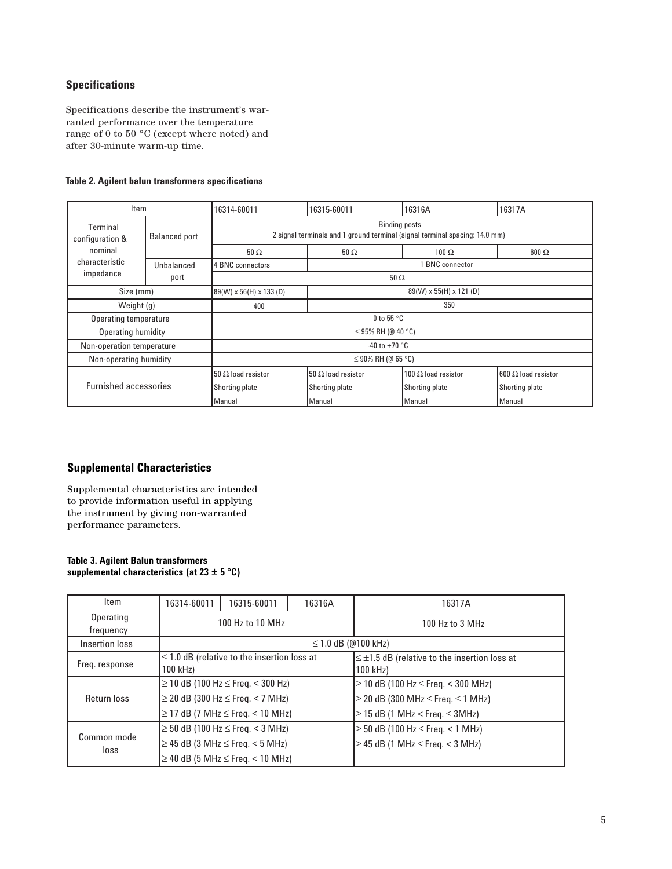## **Specifications**

Specifications describe the instrument's warranted performance over the temperature range of 0 to 50  $^{\circ}{\rm C}$  (except where noted) and after 30-minute warm-up time.

## **Table 2. Agilent balun transformers specifications**

|                                                     | Item<br>16316A<br>16314-60011<br>16315-60011                                                        |                           |                                    | 16317A                     |                            |
|-----------------------------------------------------|-----------------------------------------------------------------------------------------------------|---------------------------|------------------------------------|----------------------------|----------------------------|
| Terminal<br><b>Balanced port</b><br>configuration & | <b>Binding posts</b><br>2 signal terminals and 1 ground terminal (signal terminal spacing: 14.0 mm) |                           |                                    |                            |                            |
| nominal                                             |                                                                                                     | $50 \Omega$               | $50 \Omega$                        | $100 \Omega$               | $600 \Omega$               |
| characteristic<br>Unbalanced<br>impedance<br>port   | <b>BNC</b> connector<br>4 BNC connectors                                                            |                           |                                    |                            |                            |
|                                                     | $50 \Omega$                                                                                         |                           |                                    |                            |                            |
| Size (mm)                                           |                                                                                                     | 89(W) x 56(H) x 133 (D)   | $89(W) \times 55(H) \times 121(D)$ |                            |                            |
|                                                     | Weight $(q)$<br>400                                                                                 |                           | 350                                |                            |                            |
|                                                     | <b>Operating temperature</b>                                                                        |                           | 0 to 55 $\degree$ C                |                            |                            |
| Operating humidity                                  |                                                                                                     | $\leq$ 95% RH (@ 40 °C)   |                                    |                            |                            |
| Non-operation temperature                           |                                                                                                     | -40 to +70 $^{\circ}$ C   |                                    |                            |                            |
| Non-operating humidity                              |                                                                                                     | $\leq$ 90% RH (@ 65 °C)   |                                    |                            |                            |
| <b>Furnished accessories</b>                        |                                                                                                     | 50 $\Omega$ load resistor | 50 $\Omega$ load resistor          | 100 $\Omega$ load resistor | $600 \Omega$ load resistor |
|                                                     |                                                                                                     | Shorting plate            | Shorting plate                     | Shorting plate             | Shorting plate             |
|                                                     |                                                                                                     | Manual                    | Manual                             | Manual                     | Manual                     |

## **Supplemental Characteristics**

Supplemental characteristics are intended to provide information useful in applying the instrument by giving non-warranted performance parameters.

#### **Table 3. Agilent Balun transformers supplemental characteristics (at 23 ± 5 °C)**

| Item                   | 16314-60011                                                                                                                     | 16315-60011 | 16316A | 16317A                                                                                                                             |
|------------------------|---------------------------------------------------------------------------------------------------------------------------------|-------------|--------|------------------------------------------------------------------------------------------------------------------------------------|
| Operating<br>frequency | 100 Hz to 10 MHz                                                                                                                |             |        | 100 Hz to 3 MHz                                                                                                                    |
| Insertion loss         | ≤ 1.0 dB (@100 kHz)                                                                                                             |             |        |                                                                                                                                    |
| Freq. response         | $\leq$ 1.0 dB (relative to the insertion loss at<br>100 kHz)                                                                    |             |        | $\leq \pm 1.5$ dB (relative to the insertion loss at<br>100 kHz)                                                                   |
| Return loss            | $≥ 10$ dB (100 Hz ≤ Freq. < 300 Hz)<br>$\geq$ 20 dB (300 Hz $\leq$ Freq. < 7 MHz)<br>$\geq$ 17 dB (7 MHz $\leq$ Freq. < 10 MHz) |             |        | ≥ 10 dB (100 Hz ≤ Freq. < 300 MHz)<br>$\geq$ 20 dB (300 MHz $\leq$ Freq. $\leq$ 1 MHz)<br>$\geq$ 15 dB (1 MHz < Freq. $\leq$ 3MHz) |
| Common mode<br>loss    | $≥ 50$ dB (100 Hz ≤ Freq. < 3 MHz)<br>$\geq$ 45 dB (3 MHz $\leq$ Freq. < 5 MHz)<br>$\geq$ 40 dB (5 MHz $\leq$ Freq. < 10 MHz)   |             |        | $≥ 50$ dB (100 Hz ≤ Freq. < 1 MHz)<br>$\geq$ 45 dB (1 MHz $\leq$ Freq. < 3 MHz)                                                    |